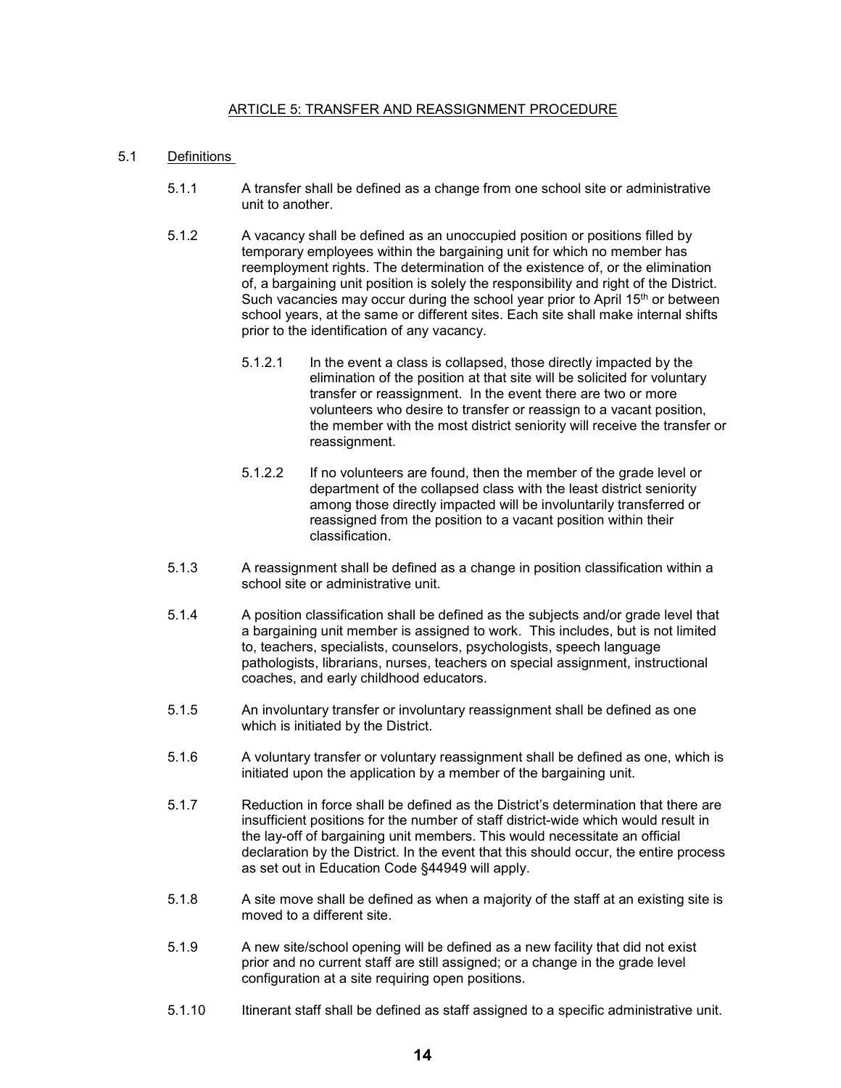### ARTICLE 5: TRANSFER AND REASSIGNMENT PROCEDURE

## 5.1 Definitions

- 5.1.1 A transfer shall be defined as a change from one school site or administrative unit to another.
- 5.1.2 A vacancy shall be defined as an unoccupied position or positions filled by temporary employees within the bargaining unit for which no member has reemployment rights. The determination of the existence of, or the elimination of, a bargaining unit position is solely the responsibility and right of the District. Such vacancies may occur during the school year prior to April  $15<sup>th</sup>$  or between school years, at the same or different sites. Each site shall make internal shifts prior to the identification of any vacancy.
	- 5.1.2.1 In the event a class is collapsed, those directly impacted by the elimination of the position at that site will be solicited for voluntary transfer or reassignment. In the event there are two or more volunteers who desire to transfer or reassign to a vacant position, the member with the most district seniority will receive the transfer or reassignment.
	- 5.1.2.2 If no volunteers are found, then the member of the grade level or department of the collapsed class with the least district seniority among those directly impacted will be involuntarily transferred or reassigned from the position to a vacant position within their classification.
- 5.1.3 A reassignment shall be defined as a change in position classification within a school site or administrative unit.
- 5.1.4 A position classification shall be defined as the subjects and/or grade level that a bargaining unit member is assigned to work. This includes, but is not limited to, teachers, specialists, counselors, psychologists, speech language pathologists, librarians, nurses, teachers on special assignment, instructional coaches, and early childhood educators.
- 5.1.5 An involuntary transfer or involuntary reassignment shall be defined as one which is initiated by the District.
- 5.1.6 A voluntary transfer or voluntary reassignment shall be defined as one, which is initiated upon the application by a member of the bargaining unit.
- 5.1.7 Reduction in force shall be defined as the District's determination that there are insufficient positions for the number of staff district-wide which would result in the lay-off of bargaining unit members. This would necessitate an official declaration by the District. In the event that this should occur, the entire process as set out in Education Code §44949 will apply.
- 5.1.8 A site move shall be defined as when a majority of the staff at an existing site is moved to a different site.
- 5.1.9 A new site/school opening will be defined as a new facility that did not exist prior and no current staff are still assigned; or a change in the grade level configuration at a site requiring open positions.
- 5.1.10 Itinerant staff shall be defined as staff assigned to a specific administrative unit.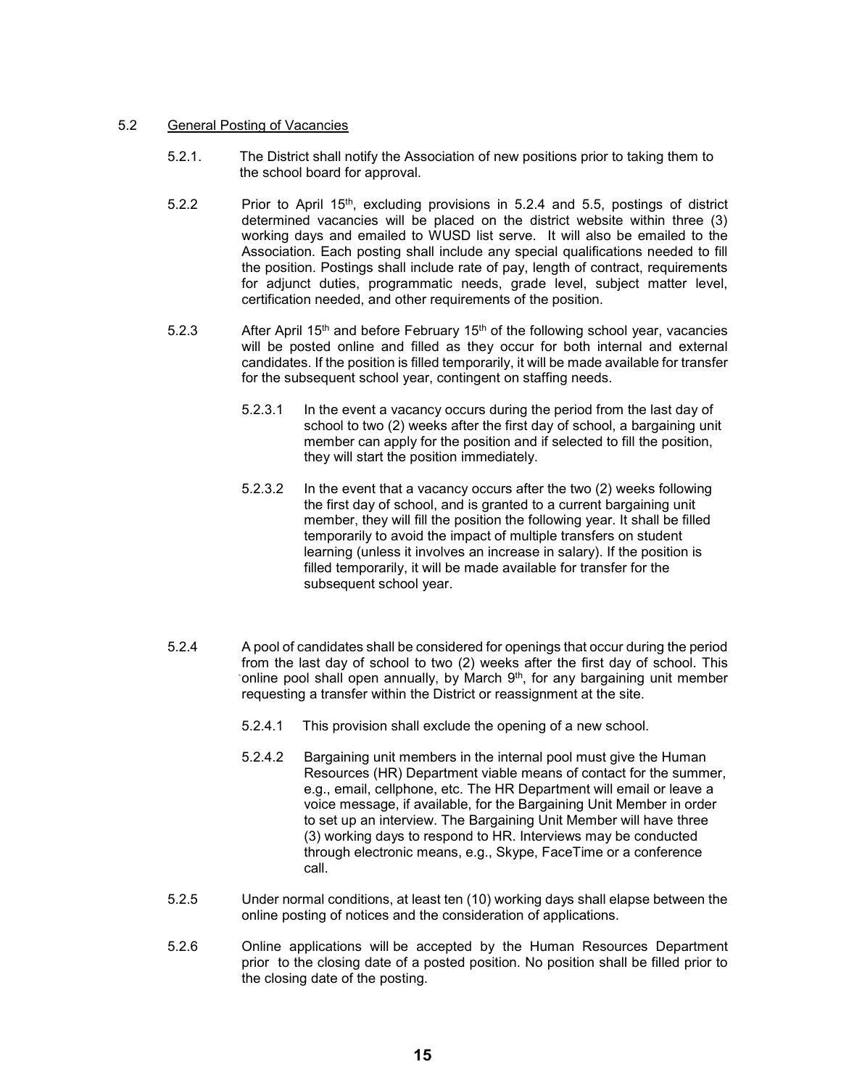### 5.2 General Posting of Vacancies

- 5.2.1. The District shall notify the Association of new positions prior to taking them to the school board for approval.
- 5.2.2 Prior to April 15<sup>th</sup>, excluding provisions in 5.2.4 and 5.5, postings of district determined vacancies will be placed on the district website within three (3) working days and emailed to WUSD list serve. It will also be emailed to the Association. Each posting shall include any special qualifications needed to fill the position. Postings shall include rate of pay, length of contract, requirements for adjunct duties, programmatic needs, grade level, subject matter level, certification needed, and other requirements of the position.
- 5.2.3 After April 15<sup>th</sup> and before February 15<sup>th</sup> of the following school year, vacancies will be posted online and filled as they occur for both internal and external candidates. If the position is filled temporarily, it will be made available for transfer for the subsequent school year, contingent on staffing needs.
	- 5.2.3.1 In the event a vacancy occurs during the period from the last day of school to two (2) weeks after the first day of school, a bargaining unit member can apply for the position and if selected to fill the position, they will start the position immediately.
	- 5.2.3.2 In the event that a vacancy occurs after the two (2) weeks following the first day of school, and is granted to a current bargaining unit member, they will fill the position the following year. It shall be filled temporarily to avoid the impact of multiple transfers on student learning (unless it involves an increase in salary). If the position is filled temporarily, it will be made available for transfer for the subsequent school year.
- 5.2.4 A pool of candidates shall be considered for openings that occur during the period from the last day of school to two (2) weeks after the first day of school. This online pool shall open annually, by March  $9<sup>th</sup>$ , for any bargaining unit member requesting a transfer within the District or reassignment at the site.
	- 5.2.4.1 This provision shall exclude the opening of a new school.
	- 5.2.4.2 Bargaining unit members in the internal pool must give the Human Resources (HR) Department viable means of contact for the summer, e.g., email, cellphone, etc. The HR Department will email or leave a voice message, if available, for the Bargaining Unit Member in order to set up an interview. The Bargaining Unit Member will have three (3) working days to respond to HR. Interviews may be conducted through electronic means, e.g., Skype, FaceTime or a conference call.
- 5.2.5 Under normal conditions, at least ten (10) working days shall elapse between the online posting of notices and the consideration of applications.
- 5.2.6 Online applications will be accepted by the Human Resources Department prior to the closing date of a posted position. No position shall be filled prior to the closing date of the posting.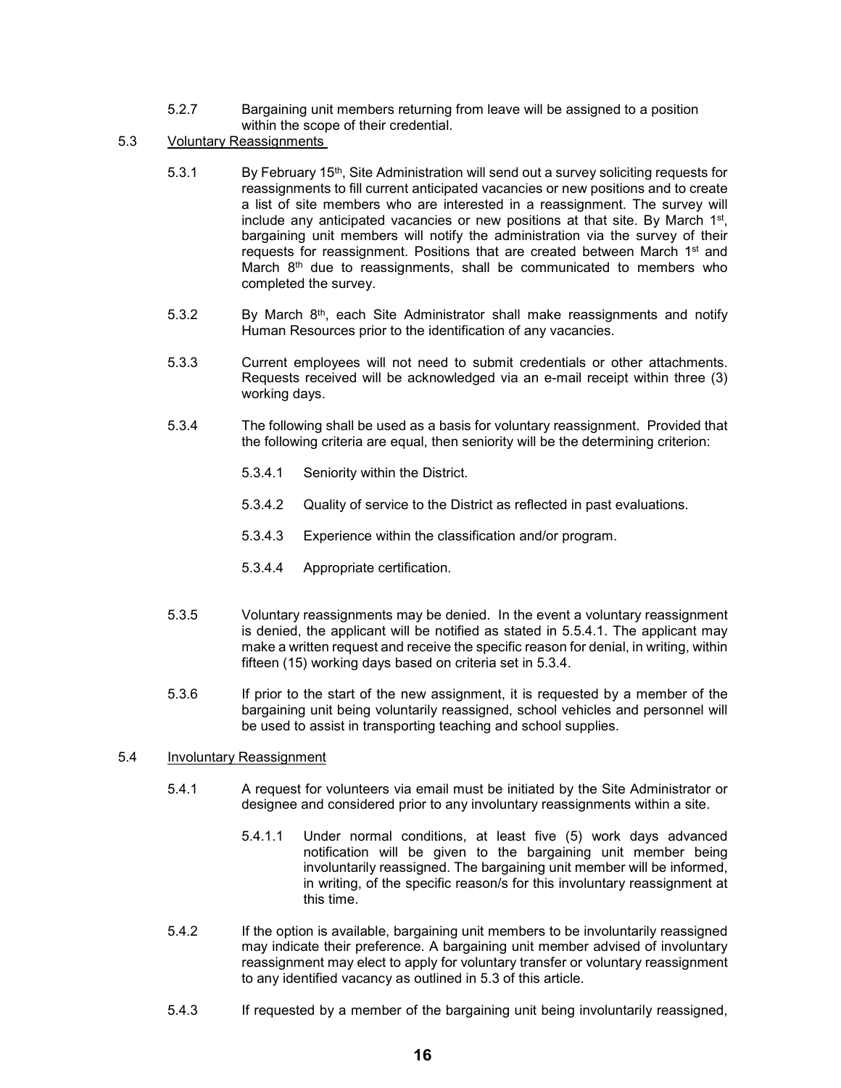- 5.2.7 Bargaining unit members returning from leave will be assigned to a position within the scope of their credential.
- 5.3 Voluntary Reassignments
	- 5.3.1 By February 15th, Site Administration will send out a survey soliciting requests for reassignments to fill current anticipated vacancies or new positions and to create a list of site members who are interested in a reassignment. The survey will include any anticipated vacancies or new positions at that site. By March 1<sup>st</sup>, bargaining unit members will notify the administration via the survey of their requests for reassignment. Positions that are created between March 1<sup>st</sup> and March 8<sup>th</sup> due to reassignments, shall be communicated to members who completed the survey.
	- 5.3.2 By March  $8<sup>th</sup>$ , each Site Administrator shall make reassignments and notify Human Resources prior to the identification of any vacancies.
	- 5.3.3 Current employees will not need to submit credentials or other attachments. Requests received will be acknowledged via an e-mail receipt within three (3) working days.
	- 5.3.4 The following shall be used as a basis for voluntary reassignment. Provided that the following criteria are equal, then seniority will be the determining criterion:
		- 5.3.4.1 Seniority within the District.
		- 5.3.4.2 Quality of service to the District as reflected in past evaluations.
		- 5.3.4.3 Experience within the classification and/or program.
		- 5.3.4.4 Appropriate certification.
	- 5.3.5 Voluntary reassignments may be denied. In the event a voluntary reassignment is denied, the applicant will be notified as stated in 5.5.4.1. The applicant may make a written request and receive the specific reason for denial, in writing, within fifteen (15) working days based on criteria set in 5.3.4.
	- 5.3.6 If prior to the start of the new assignment, it is requested by a member of the bargaining unit being voluntarily reassigned, school vehicles and personnel will be used to assist in transporting teaching and school supplies.

### 5.4 Involuntary Reassignment

- 5.4.1 A request for volunteers via email must be initiated by the Site Administrator or designee and considered prior to any involuntary reassignments within a site.
	- 5.4.1.1 Under normal conditions, at least five (5) work days advanced notification will be given to the bargaining unit member being involuntarily reassigned. The bargaining unit member will be informed, in writing, of the specific reason/s for this involuntary reassignment at this time.
- 5.4.2 If the option is available, bargaining unit members to be involuntarily reassigned may indicate their preference. A bargaining unit member advised of involuntary reassignment may elect to apply for voluntary transfer or voluntary reassignment to any identified vacancy as outlined in 5.3 of this article.
- 5.4.3 If requested by a member of the bargaining unit being involuntarily reassigned,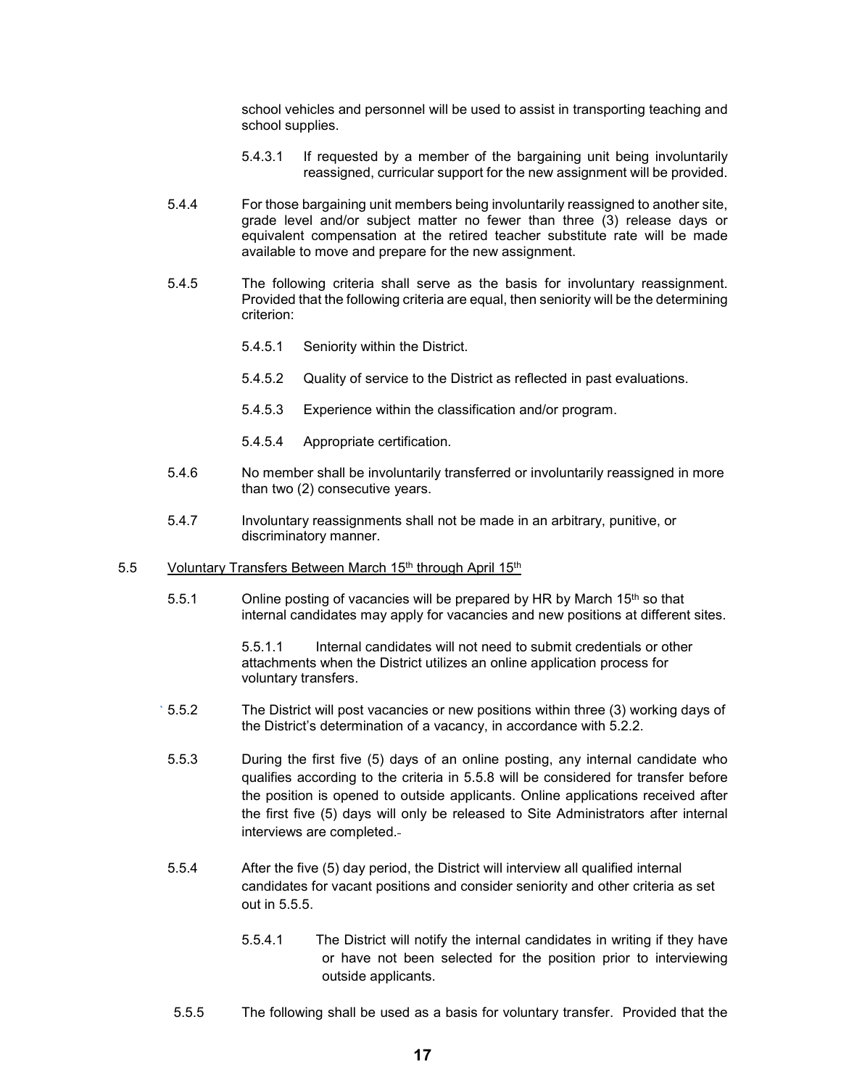school vehicles and personnel will be used to assist in transporting teaching and school supplies.

- 5.4.3.1 If requested by a member of the bargaining unit being involuntarily reassigned, curricular support for the new assignment will be provided.
- 5.4.4 For those bargaining unit members being involuntarily reassigned to another site, grade level and/or subject matter no fewer than three (3) release days or equivalent compensation at the retired teacher substitute rate will be made available to move and prepare for the new assignment.
- 5.4.5 The following criteria shall serve as the basis for involuntary reassignment. Provided that the following criteria are equal, then seniority will be the determining criterion:
	- 5.4.5.1 Seniority within the District.
	- 5.4.5.2 Quality of service to the District as reflected in past evaluations.
	- 5.4.5.3 Experience within the classification and/or program.
	- 5.4.5.4 Appropriate certification.
- 5.4.6 No member shall be involuntarily transferred or involuntarily reassigned in more than two (2) consecutive years.
- 5.4.7 Involuntary reassignments shall not be made in an arbitrary, punitive, or discriminatory manner.
- 5.5 Voluntary Transfers Between March 15th through April 15th
	- 5.5.1 Online posting of vacancies will be prepared by HR by March  $15<sup>th</sup>$  so that internal candidates may apply for vacancies and new positions at different sites.

5.5.1.1 Internal candidates will not need to submit credentials or other attachments when the District utilizes an online application process for voluntary transfers.

- 5.5.2 The District will post vacancies or new positions within three (3) working days of the District's determination of a vacancy, in accordance with 5.2.2.
- 5.5.3 During the first five (5) days of an online posting, any internal candidate who qualifies according to the criteria in 5.5.8 will be considered for transfer before the position is opened to outside applicants. Online applications received after the first five (5) days will only be released to Site Administrators after internal interviews are completed.
- 5.5.4 After the five (5) day period, the District will interview all qualified internal candidates for vacant positions and consider seniority and other criteria as set out in  $5.5.5$ .
	- 5.5.4.1 The District will notify the internal candidates in writing if they have or have not been selected for the position prior to interviewing outside applicants.
- 5.5.5 The following shall be used as a basis for voluntary transfer. Provided that the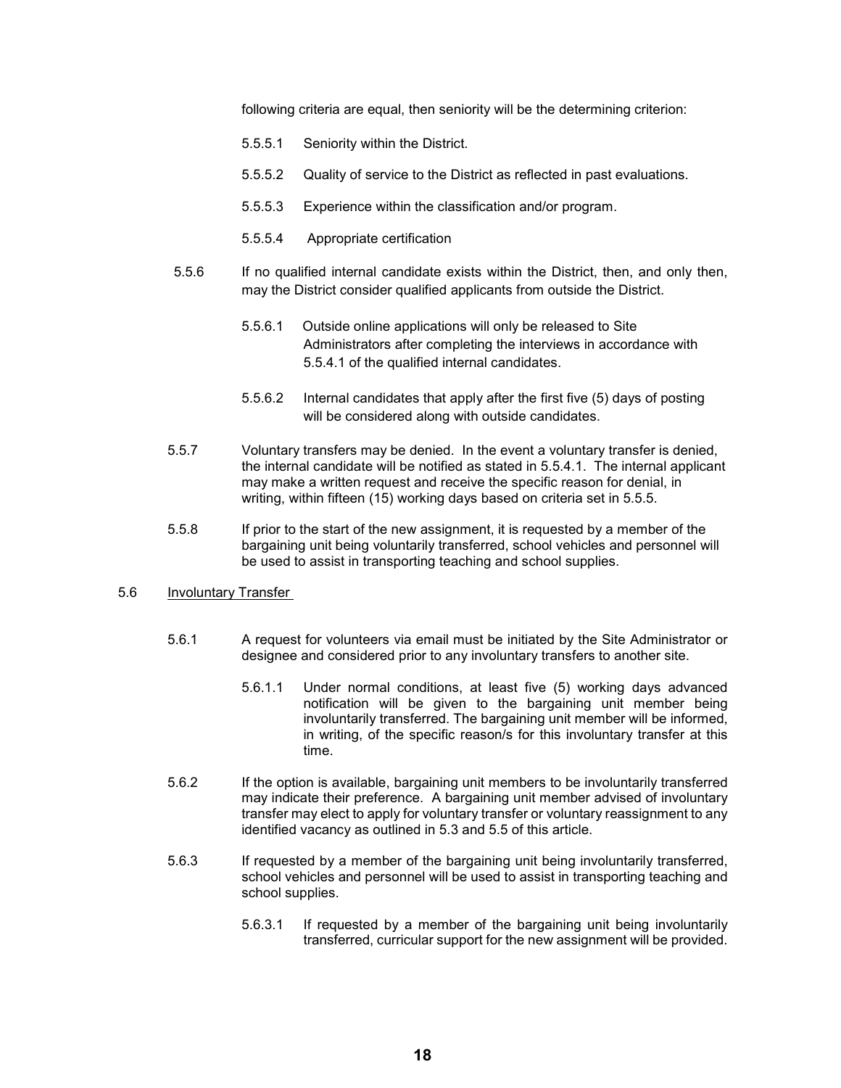following criteria are equal, then seniority will be the determining criterion:

- 5.5.5.1 Seniority within the District.
- 5.5.5.2 Quality of service to the District as reflected in past evaluations.
- 5.5.5.3 Experience within the classification and/or program.
- 5.5.5.4 Appropriate certification
- 5.5.6 If no qualified internal candidate exists within the District, then, and only then, may the District consider qualified applicants from outside the District.
	- 5.5.6.1 Outside online applications will only be released to Site Administrators after completing the interviews in accordance with 5.5.4.1 of the qualified internal candidates.
	- 5.5.6.2 Internal candidates that apply after the first five (5) days of posting will be considered along with outside candidates.
- 5.5.7 Voluntary transfers may be denied. In the event a voluntary transfer is denied, the internal candidate will be notified as stated in 5.5.4.1. The internal applicant may make a written request and receive the specific reason for denial, in writing, within fifteen (15) working days based on criteria set in 5.5.5.
- 5.5.8 If prior to the start of the new assignment, it is requested by a member of the bargaining unit being voluntarily transferred, school vehicles and personnel will be used to assist in transporting teaching and school supplies.
- 5.6 Involuntary Transfer
	- 5.6.1 A request for volunteers via email must be initiated by the Site Administrator or designee and considered prior to any involuntary transfers to another site.
		- 5.6.1.1 Under normal conditions, at least five (5) working days advanced notification will be given to the bargaining unit member being involuntarily transferred. The bargaining unit member will be informed, in writing, of the specific reason/s for this involuntary transfer at this time.
	- 5.6.2 If the option is available, bargaining unit members to be involuntarily transferred may indicate their preference. A bargaining unit member advised of involuntary transfer may elect to apply for voluntary transfer or voluntary reassignment to any identified vacancy as outlined in 5.3 and 5.5 of this article.
	- 5.6.3 If requested by a member of the bargaining unit being involuntarily transferred, school vehicles and personnel will be used to assist in transporting teaching and school supplies.
		- 5.6.3.1 If requested by a member of the bargaining unit being involuntarily transferred, curricular support for the new assignment will be provided.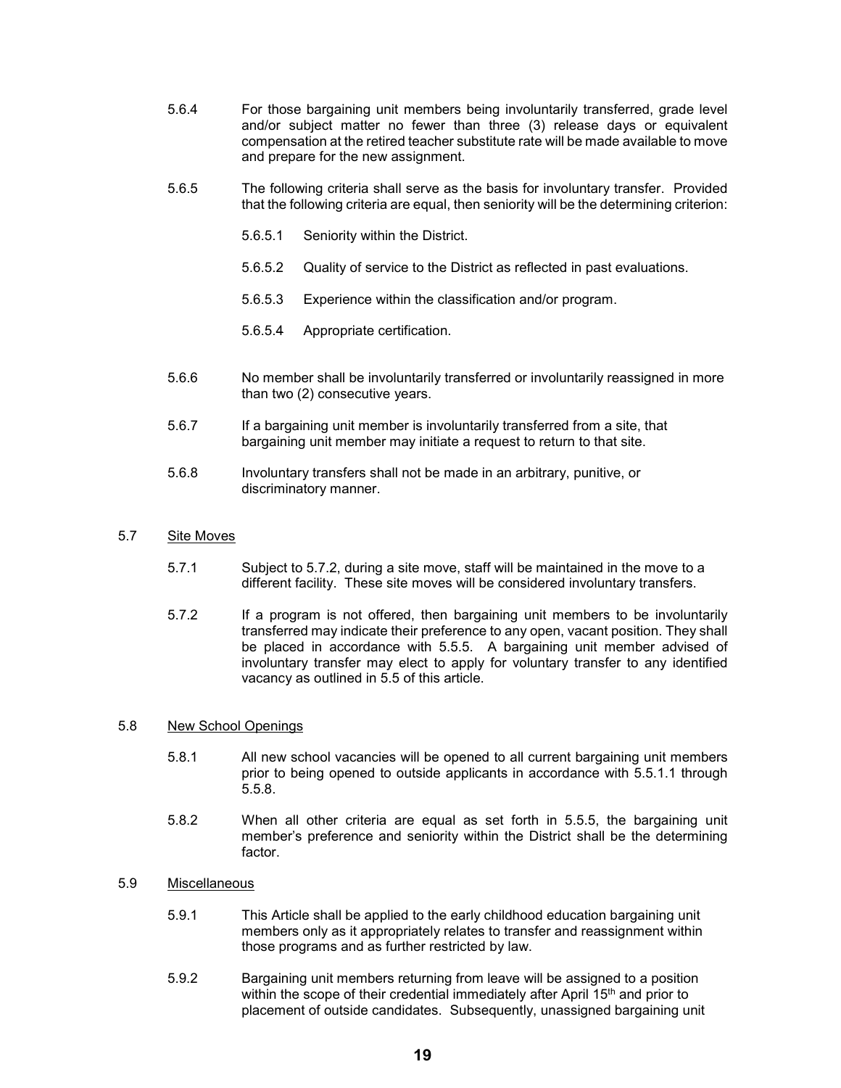- 5.6.4 For those bargaining unit members being involuntarily transferred, grade level and/or subject matter no fewer than three (3) release days or equivalent compensation at the retired teacher substitute rate will be made available to move and prepare for the new assignment.
- 5.6.5 The following criteria shall serve as the basis for involuntary transfer. Provided that the following criteria are equal, then seniority will be the determining criterion:
	- 5.6.5.1 Seniority within the District.
	- 5.6.5.2 Quality of service to the District as reflected in past evaluations.
	- 5.6.5.3 Experience within the classification and/or program.
	- 5.6.5.4 Appropriate certification.
- 5.6.6 No member shall be involuntarily transferred or involuntarily reassigned in more than two (2) consecutive years.
- 5.6.7 If a bargaining unit member is involuntarily transferred from a site, that bargaining unit member may initiate a request to return to that site.
- 5.6.8 Involuntary transfers shall not be made in an arbitrary, punitive, or discriminatory manner.

#### 5.7 Site Moves

- 5.7.1 Subject to 5.7.2, during a site move, staff will be maintained in the move to a different facility. These site moves will be considered involuntary transfers.
- 5.7.2 If a program is not offered, then bargaining unit members to be involuntarily transferred may indicate their preference to any open, vacant position. They shall be placed in accordance with 5.5.5. A bargaining unit member advised of involuntary transfer may elect to apply for voluntary transfer to any identified vacancy as outlined in 5.5 of this article.

#### 5.8 New School Openings

- 5.8.1 All new school vacancies will be opened to all current bargaining unit members prior to being opened to outside applicants in accordance with 5.5.1.1 through 5.5.8.
- 5.8.2 When all other criteria are equal as set forth in 5.5.5, the bargaining unit member's preference and seniority within the District shall be the determining factor.

# 5.9 Miscellaneous

- 5.9.1 This Article shall be applied to the early childhood education bargaining unit members only as it appropriately relates to transfer and reassignment within those programs and as further restricted by law.
- 5.9.2 Bargaining unit members returning from leave will be assigned to a position within the scope of their credential immediately after April 15<sup>th</sup> and prior to placement of outside candidates. Subsequently, unassigned bargaining unit